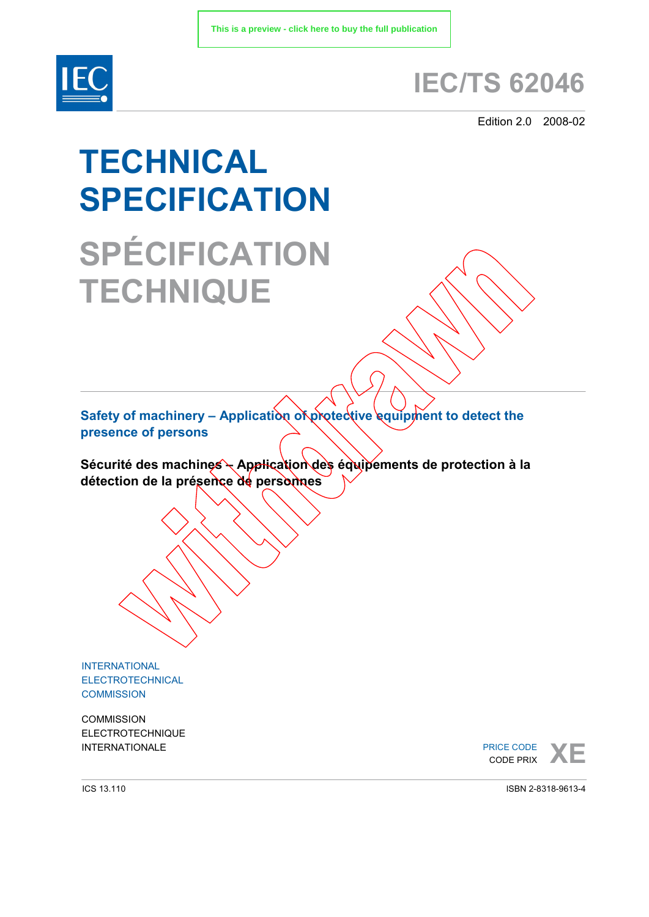

## **IEC/TS 62046**

Edition 2.0 2008-02

# **TECHNICAL SPECIFICATION SPÉCIFICATION**

**TECHNIQUE**

**Safety of machinery – Application of protective equipment to detect the presence of persons** 

Sécurité des machines - Application des équipements de protection à la **détection de la présence de personnes** 

INTERNATIONAL ELECTROTECHNICAL **COMMISSION** 

**COMMISSION** ELECTROTECHNIQUE

INTERNATIONALE **A CODE PRICE CODE XELLE CODE** PRICE CODE CODE PRIX

ICS 13.110

ISBN 2-8318-9613-4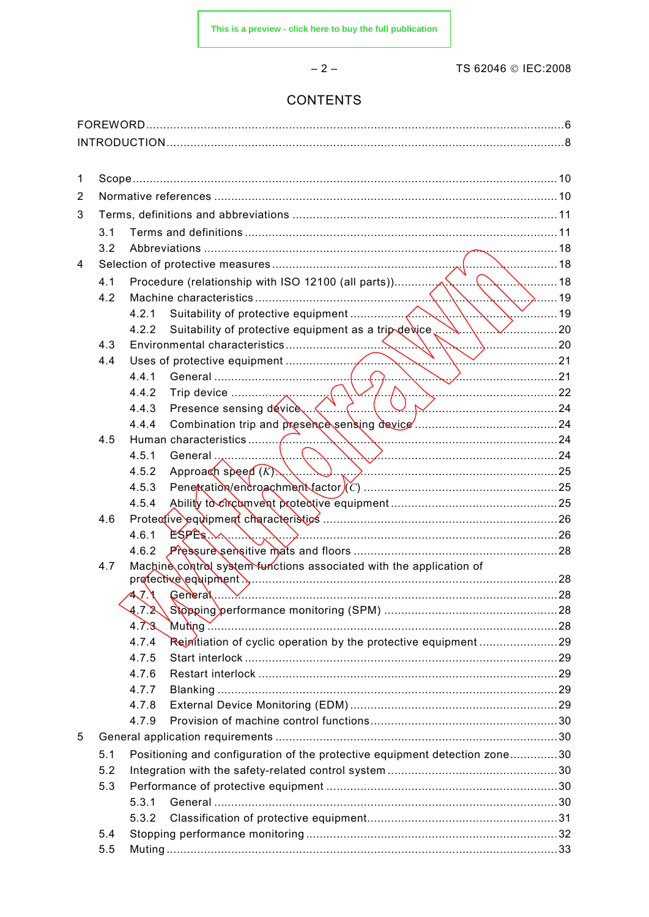TS 62046 © IEC:2008

### **CONTENTS**

 $-2-$ 

| 1 |     |                                                                                                 |  |
|---|-----|-------------------------------------------------------------------------------------------------|--|
| 2 |     |                                                                                                 |  |
| 3 |     |                                                                                                 |  |
|   | 3.1 |                                                                                                 |  |
|   | 3.2 |                                                                                                 |  |
| 4 |     |                                                                                                 |  |
|   |     |                                                                                                 |  |
|   | 4.2 |                                                                                                 |  |
|   |     | 4.2.1                                                                                           |  |
|   |     | $\vee$ 20<br>Suitability of protective equipment as a trip device<br>4.2.2                      |  |
|   | 4.3 |                                                                                                 |  |
|   | 4.4 |                                                                                                 |  |
|   |     |                                                                                                 |  |
|   |     | 4.4.2                                                                                           |  |
|   |     | 4.4.3                                                                                           |  |
|   |     | 4.4.4                                                                                           |  |
|   | 4.5 |                                                                                                 |  |
|   |     | 4.5.1                                                                                           |  |
|   |     | Approach speed $(K)$ , $\ldots$ , $\ldots$ , $\ldots$ , $\ldots$ , $\ldots$ , $\ldots$<br>4.5.2 |  |
|   |     | 4.5.3                                                                                           |  |
|   |     | 4.5.4                                                                                           |  |
|   | 4.6 |                                                                                                 |  |
|   |     | $ESPEs \sim 26$<br>4.6.1                                                                        |  |
|   |     |                                                                                                 |  |
|   | 4.7 | Machine control system functions associated with the application of                             |  |
|   |     | 47.1                                                                                            |  |
|   |     | 4.7.2                                                                                           |  |
|   |     | 4.7.8                                                                                           |  |
|   |     | 4.7.4                                                                                           |  |
|   |     | 4.7.5                                                                                           |  |
|   |     | 4.7.6                                                                                           |  |
|   |     | 4.7.7                                                                                           |  |
|   |     | 4.7.8                                                                                           |  |
|   |     | 4.7.9                                                                                           |  |
| 5 |     |                                                                                                 |  |
|   | 5.1 | Positioning and configuration of the protective equipment detection zone30                      |  |
|   | 5.2 |                                                                                                 |  |
|   | 5.3 |                                                                                                 |  |
|   |     | 5.3.1                                                                                           |  |
|   |     | 5.3.2                                                                                           |  |
|   | 5.4 |                                                                                                 |  |
|   | 5.5 |                                                                                                 |  |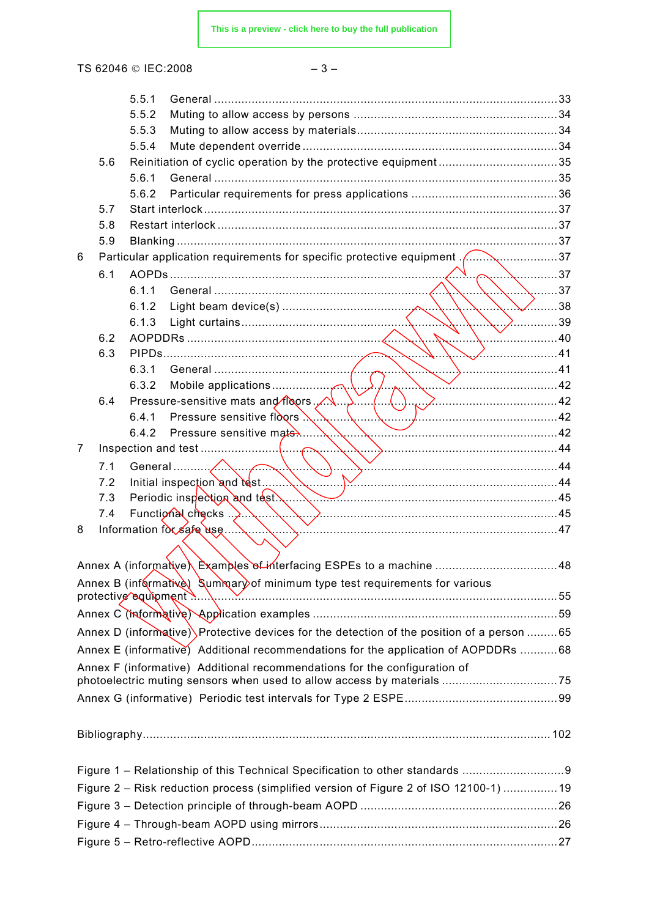**[This is a preview - click here to buy the full publication](https://webstore.iec.ch/publication/6352&preview)**

TS 62046 © IEC:2008 – 3 –

|                                                                                       |     | 5.5.1 |                                                                                           |  |
|---------------------------------------------------------------------------------------|-----|-------|-------------------------------------------------------------------------------------------|--|
|                                                                                       |     | 5.5.2 |                                                                                           |  |
|                                                                                       |     | 5.5.3 |                                                                                           |  |
|                                                                                       |     | 5.5.4 |                                                                                           |  |
|                                                                                       | 5.6 |       |                                                                                           |  |
|                                                                                       |     | 5.6.1 |                                                                                           |  |
|                                                                                       |     | 5.6.2 |                                                                                           |  |
|                                                                                       | 5.7 |       |                                                                                           |  |
|                                                                                       | 5.8 |       |                                                                                           |  |
|                                                                                       | 5.9 |       |                                                                                           |  |
| 6                                                                                     |     |       | Particular application requirements for specific protective equipment 37                  |  |
|                                                                                       | 6.1 |       |                                                                                           |  |
|                                                                                       |     | 6.1.1 | 37                                                                                        |  |
|                                                                                       |     | 6.1.2 | ✓38                                                                                       |  |
|                                                                                       |     | 6.1.3 | $\ldots$ . 2. 39                                                                          |  |
|                                                                                       | 6.2 |       | .                                                                                         |  |
|                                                                                       | 6.3 |       |                                                                                           |  |
|                                                                                       |     | 6.3.1 |                                                                                           |  |
|                                                                                       |     | 6.3.2 |                                                                                           |  |
|                                                                                       | 6.4 |       | Pressure-sensitive mats and floors.                                                       |  |
|                                                                                       |     |       | 6.4.1 Pressure sensitive floors $\ldots$<br>.                                             |  |
|                                                                                       |     | 6.4.2 |                                                                                           |  |
| 7                                                                                     |     |       |                                                                                           |  |
|                                                                                       | 7.1 |       |                                                                                           |  |
|                                                                                       | 7.2 |       |                                                                                           |  |
|                                                                                       | 7.3 |       |                                                                                           |  |
|                                                                                       | 7.4 |       | Functional checks $\ldots$ , $\ldots$ , $\ldots$ , $\ldots$ , $\ldots$ , $\ldots$         |  |
| 8                                                                                     |     |       | Information for safe use                                                                  |  |
|                                                                                       |     |       |                                                                                           |  |
|                                                                                       |     |       |                                                                                           |  |
|                                                                                       |     |       | Annex B (informative) Summary of minimum type test requirements for various               |  |
|                                                                                       |     |       |                                                                                           |  |
|                                                                                       |     |       |                                                                                           |  |
|                                                                                       |     |       | Annex D (informative) Protective devices for the detection of the position of a person 65 |  |
|                                                                                       |     |       | Annex E (informative) Additional recommendations for the application of AOPDDRs 68        |  |
|                                                                                       |     |       | Annex F (informative) Additional recommendations for the configuration of                 |  |
|                                                                                       |     |       |                                                                                           |  |
|                                                                                       |     |       |                                                                                           |  |
|                                                                                       |     |       |                                                                                           |  |
|                                                                                       |     |       |                                                                                           |  |
|                                                                                       |     |       |                                                                                           |  |
|                                                                                       |     |       |                                                                                           |  |
|                                                                                       |     |       | Figure 1 - Relationship of this Technical Specification to other standards                |  |
| Figure 2 - Risk reduction process (simplified version of Figure 2 of ISO 12100-1)  19 |     |       |                                                                                           |  |
|                                                                                       |     |       |                                                                                           |  |
|                                                                                       |     |       |                                                                                           |  |
|                                                                                       |     |       |                                                                                           |  |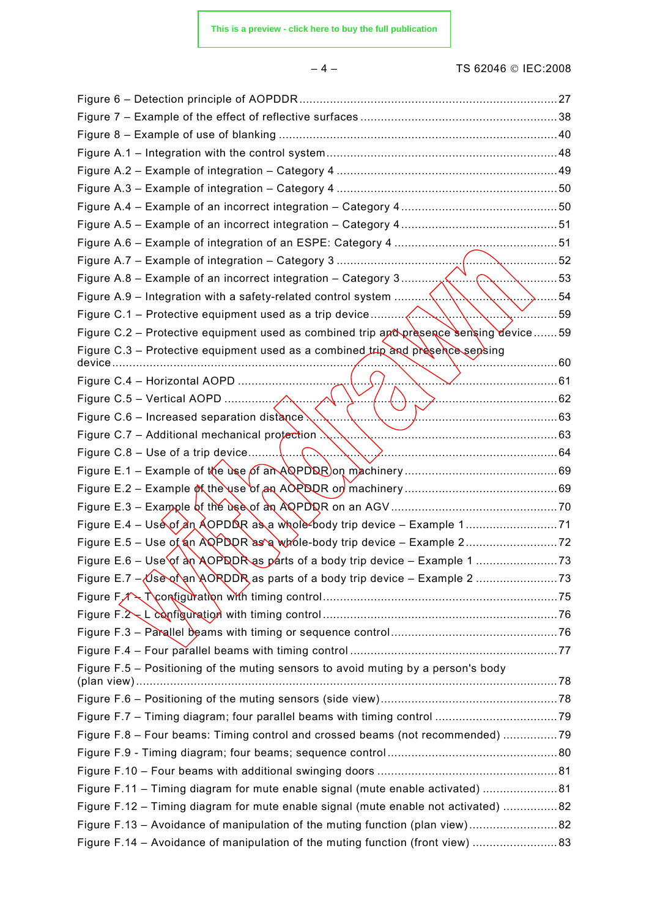#### – 4 – TS 62046 © IEC:2008

|                                                                                           | . 59 |
|-------------------------------------------------------------------------------------------|------|
| Figure C.2 - Protective equipment used as combined trip and presence sensing device59     |      |
| Figure C.3 - Protective equipment used as a combined trip and presence sepsing<br>device. |      |
| Figure C.4 - Horizontal AOPD                                                              |      |
|                                                                                           |      |
| Figure C.6 – Increased separation distance.                                               |      |
| Figure C.7 - Additional mechanical protection $\mathbb{N}$ .                              |      |
|                                                                                           |      |
|                                                                                           |      |
|                                                                                           |      |
|                                                                                           |      |
|                                                                                           |      |
|                                                                                           |      |
|                                                                                           |      |
|                                                                                           |      |
|                                                                                           |      |
|                                                                                           |      |
|                                                                                           |      |
|                                                                                           |      |
| Figure F.5 - Positioning of the muting sensors to avoid muting by a person's body         |      |
|                                                                                           |      |
|                                                                                           |      |
| Figure F.8 - Four beams: Timing control and crossed beams (not recommended) 79            |      |
|                                                                                           |      |
|                                                                                           |      |
| Figure F.11 - Timing diagram for mute enable signal (mute enable activated) 81            |      |
| Figure F.12 - Timing diagram for mute enable signal (mute enable not activated) 82        |      |
| Figure F.13 – Avoidance of manipulation of the muting function (plan view)82              |      |
| Figure F.14 - Avoidance of manipulation of the muting function (front view) 83            |      |
|                                                                                           |      |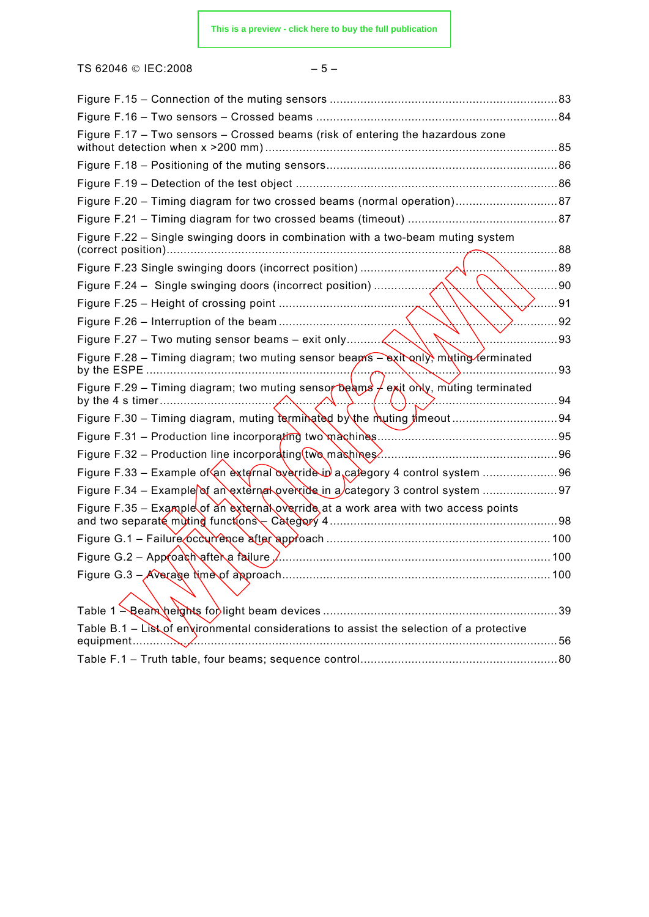TS 62046 © IEC:2008 – 5 –

| Figure F.17 - Two sensors - Crossed beams (risk of entering the hazardous zone                        |      |
|-------------------------------------------------------------------------------------------------------|------|
|                                                                                                       |      |
|                                                                                                       |      |
|                                                                                                       |      |
|                                                                                                       |      |
| Figure F.22 – Single swinging doors in combination with a two-beam muting system                      | . 88 |
|                                                                                                       | 89   |
|                                                                                                       | 90   |
|                                                                                                       | . 91 |
|                                                                                                       | 92   |
|                                                                                                       | 93   |
| Figure F.28 – Timing diagram; two muting sensor beams – exit only, muting ferminated                  | 93   |
| Figure F.29 - Timing diagram; two muting sensor beams $/$ exit only, muting terminated<br>. 94        |      |
|                                                                                                       |      |
|                                                                                                       |      |
| Figure F.32 – Production line incorporating $(tw_0 \text{ making } r)$ .                              |      |
| Figure F.33 - Example of an external everride in a calegory 4 control system 96                       |      |
| Figure F.34 – Example of an external override in a category 3 control system                          |      |
| Figure F.35 - Example of an external override at a work area with two access points                   |      |
|                                                                                                       |      |
| Figure G.2 - Approach after a failure,                                                                |      |
|                                                                                                       | 100  |
|                                                                                                       |      |
| Table B.1 - List of environmental considerations to assist the selection of a protective<br>equipment |      |
|                                                                                                       |      |
|                                                                                                       |      |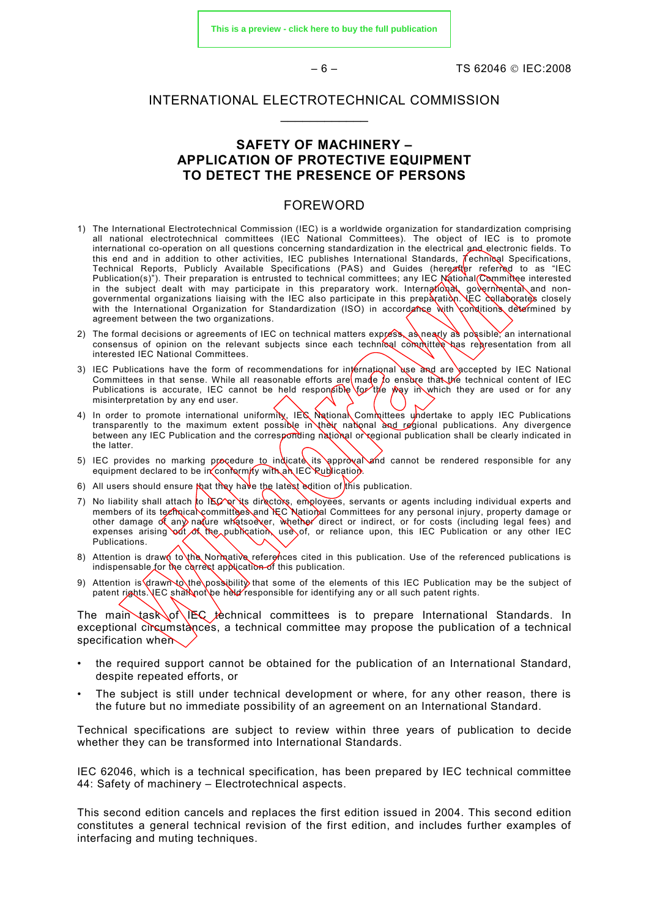**[This is a preview - click here to buy the full publication](https://webstore.iec.ch/publication/6352&preview)**

 $-6 -$  TS 62046 © IFC:2008

#### <span id="page-5-0"></span>INTERNATIONAL ELECTROTECHNICAL COMMISSION  $\frac{1}{2}$

#### **SAFETY OF MACHINERY – APPLICATION OF PROTECTIVE EQUIPMENT TO DETECT THE PRESENCE OF PERSONS**

#### FOREWORD

- 1) The International Electrotechnical Commission (IEC) is a worldwide organization for standardization comprising all national electrotechnical committees (IEC National Committees). The object of IEC is to promote international co-operation on all questions concerning standardization in the electrical and electronic fields. To this end and in addition to other activities, IEC publishes International Standards,  $\vec{l}$  echnical Specifications, Technical Reports, Publicly Available Specifications (PAS) and Guides (hereafter referred to as "IEC Publication(s)"). Their preparation is entrusted to technical committees; any IEC National Committee interested in the subject dealt with may participate in this preparatory work. International, governmenta and nongovernmental organizations liaising with the IEC also participate in this prepàratiòn. LEC collaborates closely with the International Organization for Standardization (ISO) in accordance with conditions determined by agreement between the two organizations.
- 2) The formal decisions or agreements of IEC on technical matters express, as nearly as possible, an international consensus of opinion on the relevant subjects since each technical committee has representation from all interested IEC National Committees.
- 3) IEC Publications have the form of recommendations for international use and are accepted by IEC National Committees in that sense. While all reasonable efforts are made to ensure that the technical content of IEC Publications is accurate, IEC cannot be held responsible  $\gamma$ or the way in which they are used or for any misinterpretation by any end user.
- 4) In order to promote international uniformity, IEC National Committees undertake to apply IEC Publications transparently to the maximum extent possible in their national and regional publications. Any divergence between any IEC Publication and the corresponding national or regional publication shall be clearly indicated in the latter.
- 5) IEC provides no marking procedure to indicate its approval and cannot be rendered responsible for any equipment declared to be in conformity with an IEC Rublication.
- 6) All users should ensure that they have the latest edition of this publication.
- 7) No liability shall attach to IEC or its directors, employees, servants or agents including individual experts and members of its technical committees and IEC National Committees for any personal injury, property damage or other damage of any nature whatsoever, whether direct or indirect, or for costs (including legal fees) and expenses arising out of the publication, use of, or reliance upon, this IEC Publication or any other IEC Publications.
- 8) Attention is drawn to the Normative references cited in this publication. Use of the referenced publications is indispensable for the correct application of this publication.
- 9) Attention is drawn to the possibility that some of the elements of this IEC Publication may be the subject of patent rights. JEC shall not be held responsible for identifying any or all such patent rights.

The main task of IEC technical committees is to prepare International Standards. In exceptional circumstances, a technical committee may propose the publication of a technical specification when

- the required support cannot be obtained for the publication of an International Standard, despite repeated efforts, or
- The subject is still under technical development or where, for any other reason, there is the future but no immediate possibility of an agreement on an International Standard.

Technical specifications are subject to review within three years of publication to decide whether they can be transformed into International Standards.

IEC 62046, which is a technical specification, has been prepared by IEC technical committee 44: Safety of machinery – Electrotechnical aspects.

This second edition cancels and replaces the first edition issued in 2004. This second edition constitutes a general technical revision of the first edition, and includes further examples of interfacing and muting techniques.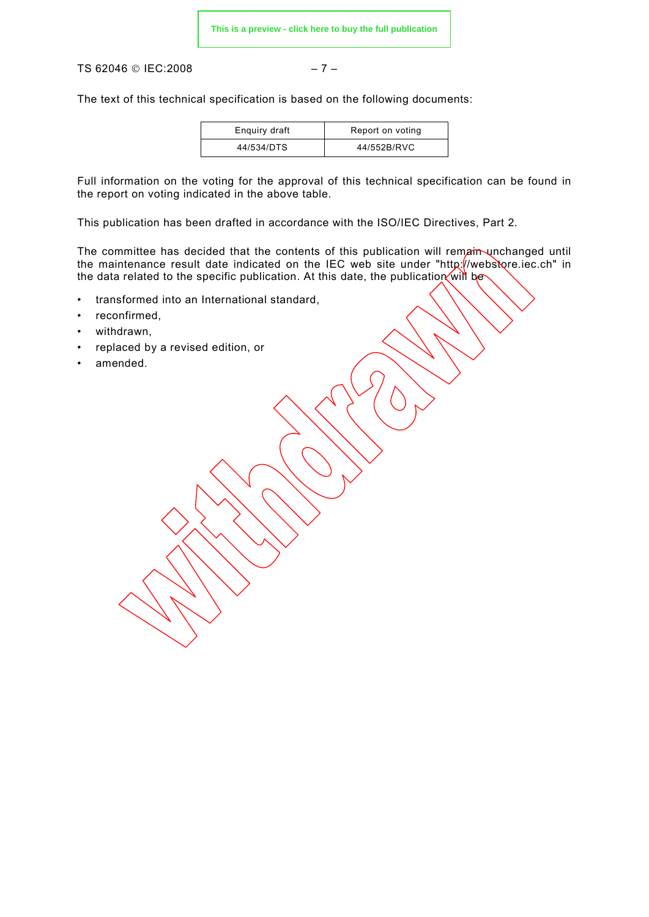TS 62046 © IEC:2008 – 7 –

The text of this technical specification is based on the following documents:

| Enguiry draft | Report on voting |
|---------------|------------------|
| 44/534/DTS    | 44/552B/RVC      |

Full information on the voting for the approval of this technical specification can be found in the report on voting indicated in the above table.

This publication has been drafted in accordance with the ISO/IEC Directives, Part 2.

The committee has decided that the contents of this publication will remain unchanged until the maintenance result date indicated on the IEC web site under "http://webstore.iec.ch" in the data related to the specific publication. At this date, the publication will be

- transformed into an International standard,
- reconfirmed,
- withdrawn,
- replaced by a revised edition, or
- amended.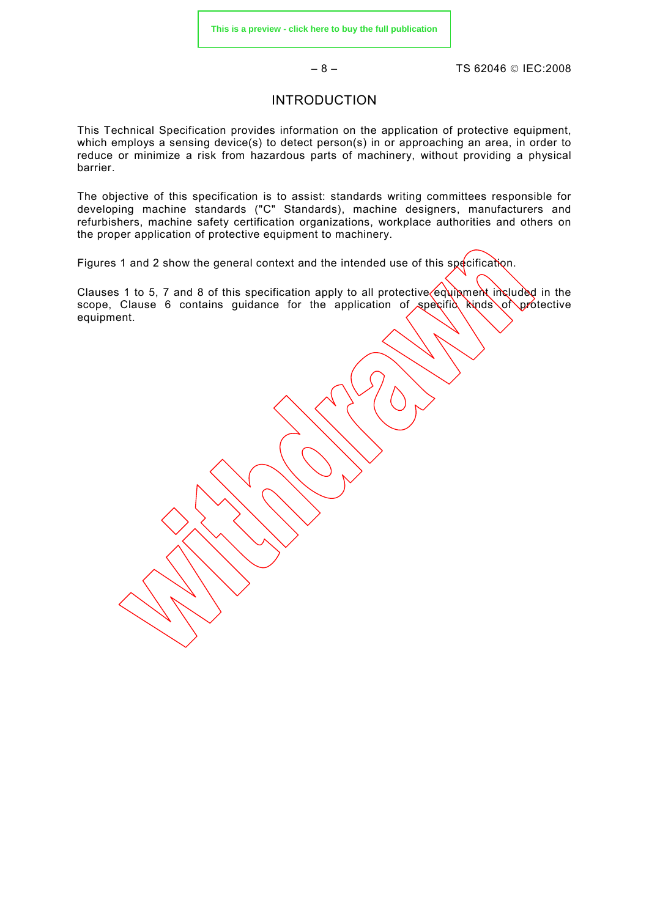– 8 – TS 62046 © IEC:2008

#### INTRODUCTION

<span id="page-7-0"></span>This Technical Specification provides information on the application of protective equipment, which employs a sensing device(s) to detect person(s) in or approaching an area, in order to reduce or minimize a risk from hazardous parts of machinery, without providing a physical barrier.

The objective of this specification is to assist: standards writing committees responsible for developing machine standards ("C" Standards), machine designers, manufacturers and refurbishers, machine safety certification organizations, workplace authorities and others on the proper application of protective equipment to machinery.

Figures 1 and 2 show the general context and the intended use of this specification.

Clauses 1 to 5, 7 and 8 of this specification apply to all protective equipment included in the scope, Clause 6 contains guidance for the application of specific kinds of protective equipment.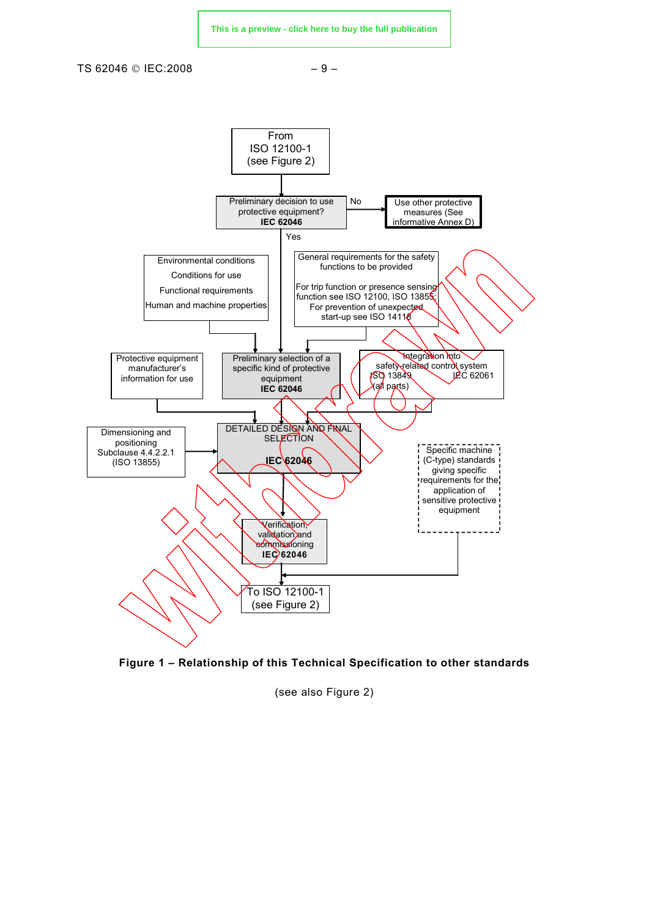

<span id="page-8-0"></span>TS 62046 © IEC:2008 – 9 –





(see also Figure 2)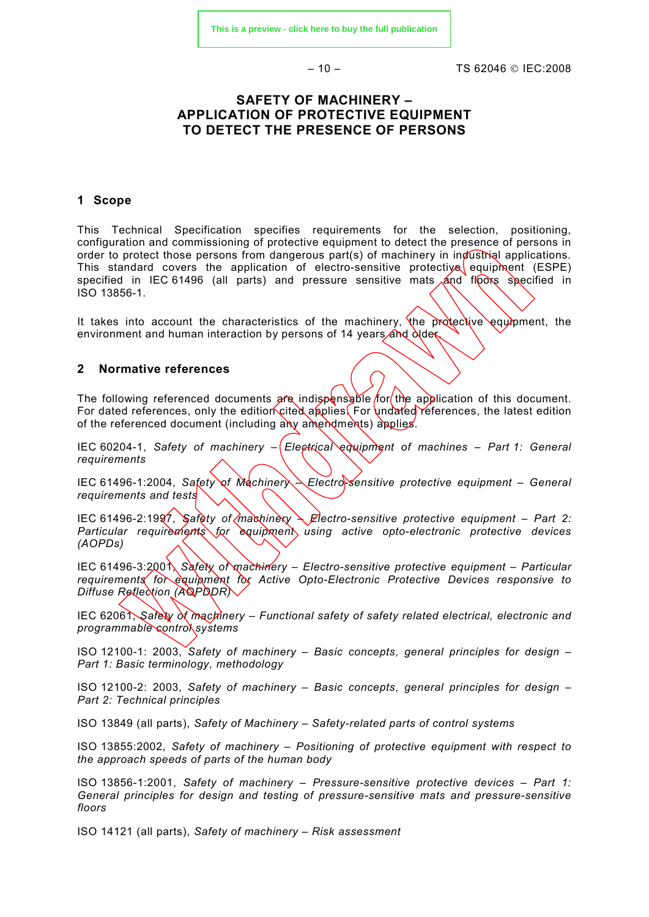$-10 - 10$  TS 62046 © IFC:2008

#### <span id="page-9-0"></span>**SAFETY OF MACHINERY – APPLICATION OF PROTECTIVE EQUIPMENT TO DETECT THE PRESENCE OF PERSONS**

#### **1 Scope**

This Technical Specification specifies requirements for the selection, positioning, configuration and commissioning of protective equipment to detect the presence of persons in order to protect those persons from dangerous part(s) of machinery in industrial applications. This standard covers the application of electro-sensitive protective equipment (ESPE) specified in IEC 61496 (all parts) and pressure sensitive mats and floors specified in ISO 13856-1.

It takes into account the characteristics of the machinery, the protective equipment, the environment and human interaction by persons of 14 years and  $\frac{\partial u}{\partial x}$ 

#### **2 Normative references**

The following referenced documents are indispensable for the application of this document. For dated references, only the edition cited applies. For undated references, the latest edition of the referenced document (including any amendments) applies.

IEC 60204-1, *Safety of machinery –*  $E$ lectrical equipment of machines – Part 1: General *requirements* 

IEC 61496-1:2004, Safety of Machinery - Electro-Sensitive protective equipment - General *requirements and tests*

IEC 61496-2:1997, *Safety of machinery – Electro-sensitive protective equipment – Part 2:* Particular requirements for equipment, using active opto-electronic protective devices *(AOPDs)*

IEC 61496-3:2001, Safety of machinery – Electro-sensitive protective equipment – Particular *requirements for equipment for Active Opto-Electronic Protective Devices responsive to Diffuse Reflection (AOPDDR)*

IEC 62061, *Safety of machinery – Functional safety of safety related electrical, electronic and programmable control systems* 

ISO 12100-1: 2003, *Safety of machinery – Basic concepts, general principles for design – Part 1: Basic terminology, methodology*

ISO 12100-2: 2003, *Safety of machinery – Basic concepts, general principles for design – Part 2: Technical principles* 

ISO 13849 (all parts), *Safety of Machinery – Safety-related parts of control systems* 

ISO 13855:2002, *Safety of machinery – Positioning of protective equipment with respect to the approach speeds of parts of the human body*

ISO 13856-1:2001, *Safety of machinery – Pressure-sensitive protective devices – Part 1: General principles for design and testing of pressure-sensitive mats and pressure-sensitive floors* 

ISO 14121 (all parts), *Safety of machinery – Risk assessment*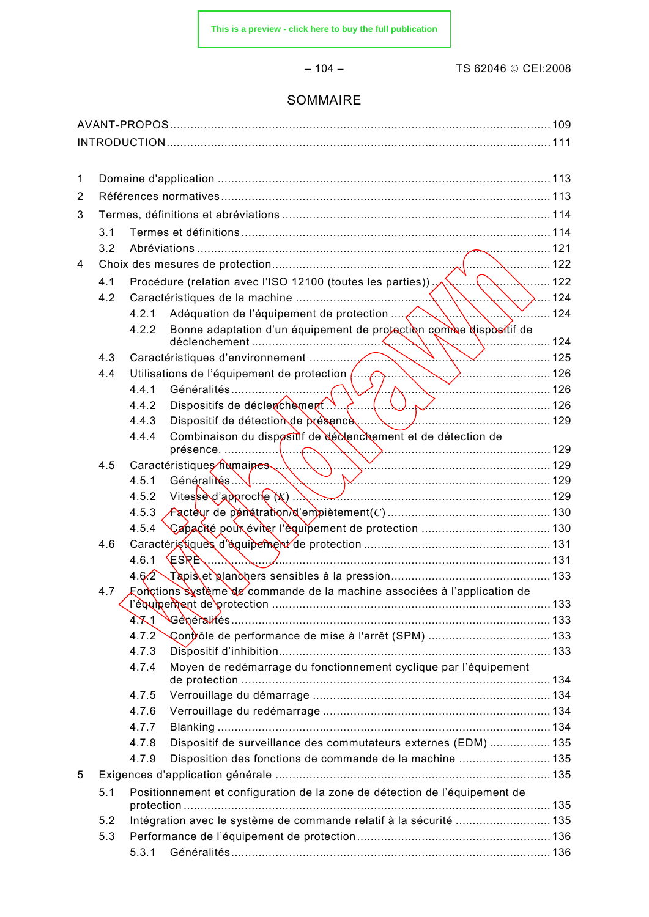– 104 – TS 62046 © CEI:2008

### SOMMAIRE

| 1 |     |       |                                                                             |             |
|---|-----|-------|-----------------------------------------------------------------------------|-------------|
| 2 |     |       |                                                                             |             |
| 3 |     |       |                                                                             |             |
|   | 3.1 |       |                                                                             |             |
|   |     |       |                                                                             |             |
| 4 |     |       |                                                                             |             |
|   |     |       |                                                                             |             |
|   | 4.2 |       |                                                                             |             |
|   |     | 4.2.1 |                                                                             |             |
|   |     | 4.2.2 | Bonne adaptation d'un équipement de protection comme dispositif de          |             |
|   | 4.3 |       |                                                                             |             |
|   | 4.4 |       | Utilisations de l'équipement de protection (Apple De la Communication 126   |             |
|   |     | 4.4.1 |                                                                             |             |
|   |     | 4.4.2 | $\sum$ ( $\bigcup$ $\sum$ $\sum$ 126<br>Dispositifs de déclerchèment        |             |
|   |     | 4.4.3 |                                                                             |             |
|   |     | 4.4.4 | Combinaison du dispositif de déclenchement et de détection de<br>$\sim$ 129 |             |
|   | 4.5 |       |                                                                             |             |
|   |     | 4.5.1 | Généralités 129                                                             |             |
|   |     | 4.5.2 | Vitessed'approche(K)                                                        |             |
|   |     | 4.5.3 |                                                                             |             |
|   |     | 4.5.4 |                                                                             |             |
|   | 4.6 |       |                                                                             |             |
|   |     | 4.6.1 | $ESRE$ 131                                                                  |             |
|   |     | 4.62  |                                                                             |             |
|   | 4.7 |       | Fonctions système de commande de la machine associées à l'application de    | $\dots$ 133 |
|   |     | 4.71  |                                                                             |             |
|   |     | 4.7.2 |                                                                             |             |
|   |     | 4.7.3 |                                                                             |             |
|   |     | 4.7.4 | Moyen de redémarrage du fonctionnement cyclique par l'équipement            |             |
|   |     | 4.7.5 |                                                                             |             |
|   |     | 4.7.6 |                                                                             |             |
|   |     | 4.7.7 |                                                                             |             |
|   |     | 4.7.8 | Dispositif de surveillance des commutateurs externes (EDM)  135             |             |
|   |     | 4.7.9 | Disposition des fonctions de commande de la machine  135                    |             |
| 5 |     |       |                                                                             |             |
|   | 5.1 |       | Positionnement et configuration de la zone de détection de l'équipement de  |             |
|   | 5.2 |       | Intégration avec le système de commande relatif à la sécurité  135          |             |
|   | 5.3 |       |                                                                             |             |
|   |     | 5.3.1 |                                                                             |             |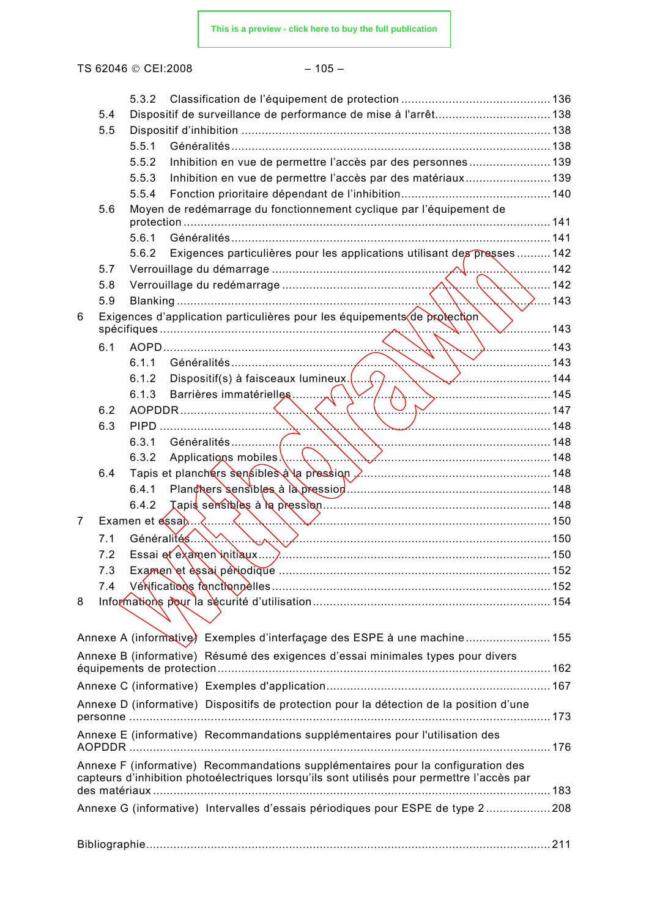TS 62046 © CEI:2008 - 105 -

|   |     | 5.3.2                                                                                      |     |
|---|-----|--------------------------------------------------------------------------------------------|-----|
|   | 5.4 | Dispositif de surveillance de performance de mise à l'arrêt 138                            |     |
|   | 5.5 |                                                                                            |     |
|   |     | 5.5.1                                                                                      |     |
|   |     | Inhibition en vue de permettre l'accès par des personnes 139<br>5.5.2                      |     |
|   |     | Inhibition en vue de permettre l'accès par des matériaux 139<br>5.5.3                      |     |
|   |     | 5.5.4                                                                                      |     |
|   | 5.6 | Moyen de redémarrage du fonctionnement cyclique par l'équipement de                        |     |
|   |     | 5.6.1                                                                                      |     |
|   |     | Exigences particulières pour les applications utilisant des presses  142<br>5.6.2          |     |
|   | 5.7 | 142                                                                                        |     |
|   | 5.8 |                                                                                            | 142 |
|   | 5.9 | $\ldots$ $\lambda$ 143                                                                     |     |
| 6 |     | Exigences d'application particulières pour les équipements de protection                   |     |
|   |     |                                                                                            | 143 |
|   | 6.1 | . 143                                                                                      |     |
|   |     | 6.1.1                                                                                      |     |
|   |     | Dispositif(s) à faisceaux lumineux.(.<br>6.1.2                                             |     |
|   |     | Barrières immatérielles<br>$\sim$ 145<br>6.1.3                                             |     |
|   | 6.2 |                                                                                            |     |
|   | 6.3 |                                                                                            |     |
|   |     | 6.3.1<br>Généralités                                                                       |     |
|   |     | 6.3.2<br>Applications mobiles \<br>$\searrow$ $\searrow$ / $\swarrow$ 148                  |     |
|   | 6.4 |                                                                                            |     |
|   |     | 6.4.1                                                                                      |     |
|   |     | 6.4.2                                                                                      |     |
| 7 |     | Examen et essab                                                                            |     |
|   | 7.1 | Généralités<br>$\ldots \lambda \lambda \lambda$                                            |     |
|   | 7.2 |                                                                                            |     |
|   | 7.3 |                                                                                            |     |
|   | 7.4 |                                                                                            |     |
| 8 |     |                                                                                            |     |
|   |     |                                                                                            |     |
|   |     | Annexe A (informative) Exemples d'interfaçage des ESPE à une machine 155                   |     |
|   |     | Annexe B (informative) Résumé des exigences d'essai minimales types pour divers            |     |
|   |     |                                                                                            |     |
|   |     | Annexe D (informative) Dispositifs de protection pour la détection de la position d'une    |     |
|   |     |                                                                                            |     |
|   |     | Annexe E (informative) Recommandations supplémentaires pour l'utilisation des              |     |
|   |     | Annexe F (informative) Recommandations supplémentaires pour la configuration des           |     |
|   |     | capteurs d'inhibition photoélectriques lorsqu'ils sont utilisés pour permettre l'accès par |     |
|   |     |                                                                                            |     |
|   |     | Annexe G (informative) Intervalles d'essais périodiques pour ESPE de type 2 208            |     |
|   |     |                                                                                            |     |
|   |     |                                                                                            |     |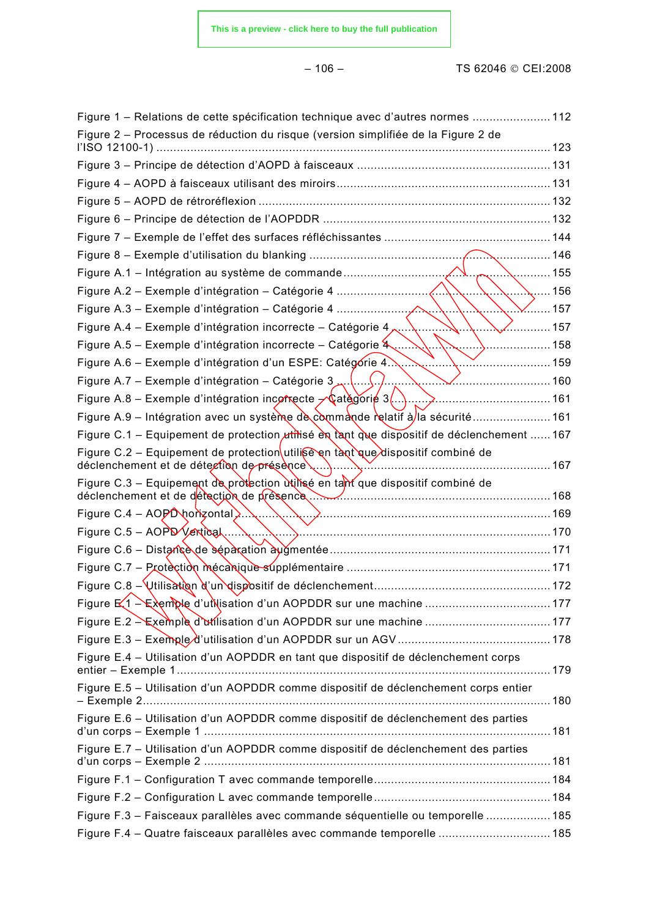### – 106 – TS 62046 © CEI:2008

| Figure 1 – Relations de cette spécification technique avec d'autres normes  112                                                                                 |                |
|-----------------------------------------------------------------------------------------------------------------------------------------------------------------|----------------|
| Figure 2 – Processus de réduction du risque (version simplifiée de la Figure 2 de                                                                               |                |
|                                                                                                                                                                 |                |
|                                                                                                                                                                 |                |
|                                                                                                                                                                 |                |
|                                                                                                                                                                 |                |
|                                                                                                                                                                 |                |
|                                                                                                                                                                 |                |
|                                                                                                                                                                 | 155            |
|                                                                                                                                                                 | 156            |
|                                                                                                                                                                 | $\dots$ 157    |
| Figure A.4 – Exemple d'intégration incorrecte – Catégorie 4,                                                                                                    | $\ldots$ . 157 |
| Figure A.5 – Exemple d'intégration incorrecte – Catégorie 4<br>╲'                                                                                               | 158            |
| Figure A.6 - Exemple d'intégration d'un ESPE: Catégorie 4<br>. 159                                                                                              |                |
| Figure A.7 – Exemple d'intégration – Catégorie 3                                                                                                                |                |
| Figure A.8 – Exemple d'intégration incorrecte $\sqrt{\alpha}$ atégorié 3()                                                                                      |                |
| Figure A.9 – Intégration avec un système de commande relatif à la sécurité  161                                                                                 |                |
| Figure C.1 – Equipement de protection <i>utifisé</i> en tant que dispositif de déclenchement  167                                                               |                |
| Figure C.2 – Equipement de protection utilise en tant que dispositif combiné de<br>déclenchement et de détection de présence                                    | 167            |
| Figure C.3 – Equipement de protection utilisé en tant que dispositif combiné de<br>déclenchement et de détection de présence <u>Manuel Alexandre et al.</u> 168 |                |
| Figure C.4 - AOPD horizontal $\ldots$                                                                                                                           |                |
| Figure C.5 - AOPD Vertical                                                                                                                                      |                |
|                                                                                                                                                                 |                |
|                                                                                                                                                                 |                |
|                                                                                                                                                                 |                |
|                                                                                                                                                                 |                |
|                                                                                                                                                                 |                |
|                                                                                                                                                                 |                |
| Figure E.4 - Utilisation d'un AOPDDR en tant que dispositif de déclenchement corps                                                                              |                |
| Figure E.5 - Utilisation d'un AOPDDR comme dispositif de déclenchement corps entier                                                                             |                |
| Figure E.6 - Utilisation d'un AOPDDR comme dispositif de déclenchement des parties                                                                              |                |
| Figure E.7 - Utilisation d'un AOPDDR comme dispositif de déclenchement des parties                                                                              |                |
|                                                                                                                                                                 |                |
|                                                                                                                                                                 |                |
| Figure F.3 - Faisceaux parallèles avec commande séquentielle ou temporelle  185                                                                                 |                |
| Figure F.4 - Quatre faisceaux parallèles avec commande temporelle  185                                                                                          |                |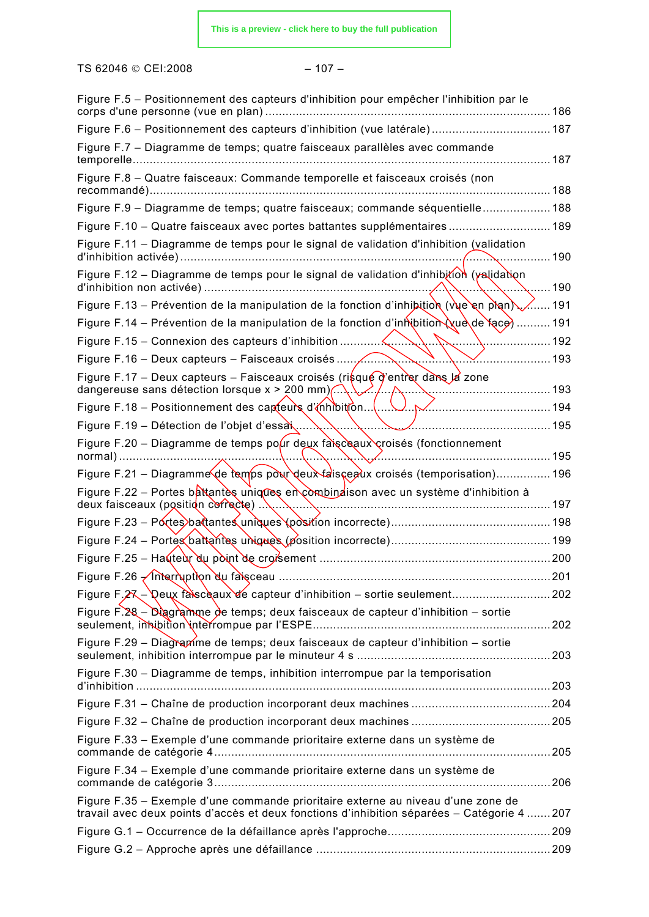TS 62046 © CEI:2008 - 107 -

| Figure F.5 – Positionnement des capteurs d'inhibition pour empêcher l'inhibition par le<br>corps d'une personne (vue en plan)                                                   | 186    |
|---------------------------------------------------------------------------------------------------------------------------------------------------------------------------------|--------|
| Figure F.6 - Positionnement des capteurs d'inhibition (vue latérale) 187                                                                                                        |        |
| Figure F.7 - Diagramme de temps; quatre faisceaux parallèles avec commande<br>temporelle                                                                                        | 187    |
| Figure F.8 - Quatre faisceaux: Commande temporelle et faisceaux croisés (non<br>recommandé)                                                                                     | 188    |
| Figure F.9 - Diagramme de temps; quatre faisceaux; commande séquentielle 188                                                                                                    |        |
| Figure F.10 - Quatre faisceaux avec portes battantes supplémentaires 189                                                                                                        |        |
| Figure F.11 – Diagramme de temps pour le signal de validation d'inhibition (validation<br>d'inhibition activée)                                                                 | 190    |
| Figure F.12 – Diagramme de temps pour le signal de validation d'inhibition (validation                                                                                          | 190    |
| Figure F.13 – Prévention de la manipulation de la fonction d'inhibition (vue en plan)                                                                                           | ∕……191 |
| Figure F.14 - Prévention de la manipulation de la fonction d'inhibition (xue de face).                                                                                          | 191    |
|                                                                                                                                                                                 | 192    |
| Figure F.16 – Deux capteurs – Faisceaux croisés                                                                                                                                 | 193    |
| Figure F.17 – Deux capteurs – Faisceaux croisés (risque d'entrer dans la zone<br>dangereuse sans détection lorsque $x > 200$ mm) $\ldots$                                       | 193    |
| Figure F.18 – Positionnement des capteurs d'inhibition.                                                                                                                         | 194    |
| Figure F.19 - Détection de l'objet d'essai.                                                                                                                                     | 195    |
| Figure F.20 – Diagramme de temps pour deux faisceaux croisés (fonctionnement<br>normal)                                                                                         | 195    |
| Figure F.21 – Diagramme de temps pour deux faisce aux croisés (temporisation) 196                                                                                               |        |
| Figure F.22 – Portes battantes uniques en combinatison avec un système d'inhibition à<br>deux faisceaux (position correcte)                                                     | 197    |
|                                                                                                                                                                                 |        |
|                                                                                                                                                                                 |        |
|                                                                                                                                                                                 |        |
|                                                                                                                                                                                 | .201   |
|                                                                                                                                                                                 |        |
| Figure F.28 – Diagramme de temps; deux faisceaux de capteur d'inhibition – sortie                                                                                               |        |
| Figure F.29 - Diagramme de temps; deux faisceaux de capteur d'inhibition - sortie                                                                                               |        |
| Figure F.30 - Diagramme de temps, inhibition interrompue par la temporisation                                                                                                   |        |
|                                                                                                                                                                                 |        |
|                                                                                                                                                                                 |        |
| Figure F.33 – Exemple d'une commande prioritaire externe dans un système de                                                                                                     |        |
| Figure F.34 - Exemple d'une commande prioritaire externe dans un système de                                                                                                     | . 206  |
| Figure F.35 – Exemple d'une commande prioritaire externe au niveau d'une zone de<br>travail avec deux points d'accès et deux fonctions d'inhibition séparées - Catégorie 4  207 |        |
|                                                                                                                                                                                 |        |
|                                                                                                                                                                                 |        |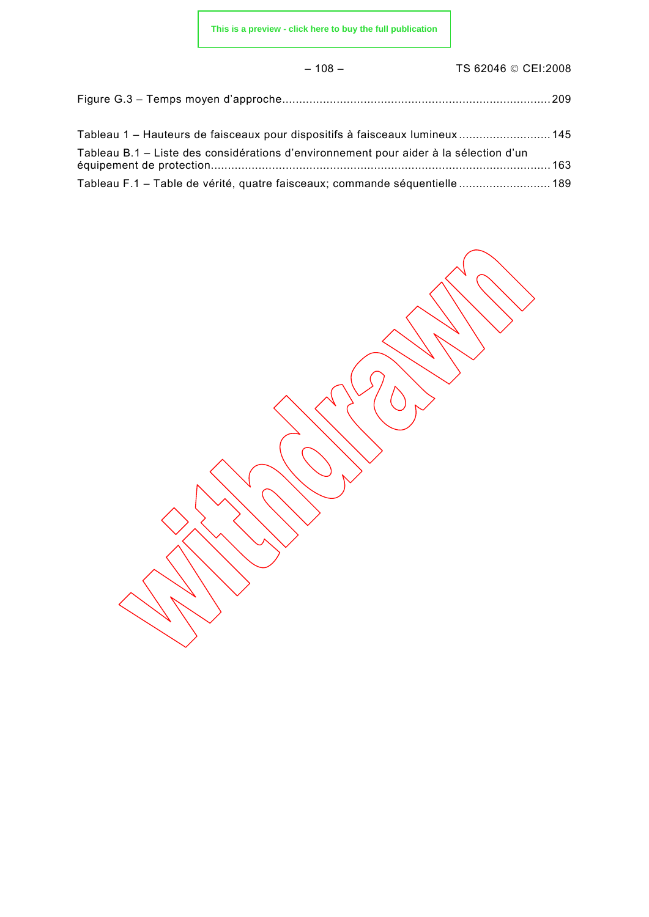– 108 – TS 62046 © CEI:2008

| Tableau 1 – Hauteurs de faisceaux pour dispositifs à faisceaux lumineux 145           |  |
|---------------------------------------------------------------------------------------|--|
| Tableau B.1 - Liste des considérations d'environnement pour aider à la sélection d'un |  |
| Tableau F.1 - Table de vérité, quatre faisceaux; commande séquentielle  189           |  |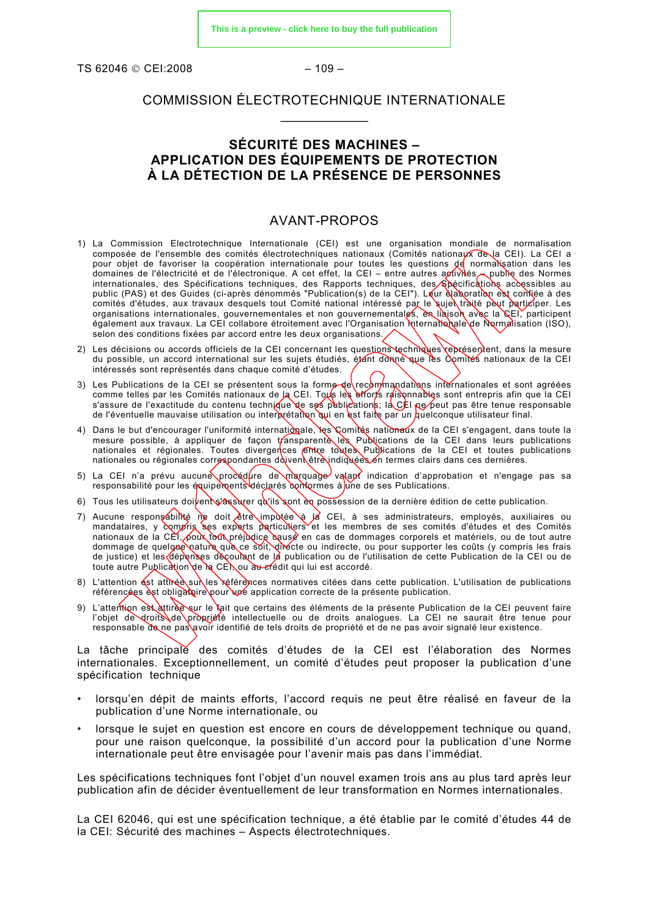<span id="page-15-0"></span>TS 62046 © CEI:2008 - 109 -

#### COMMISSION ÉLECTROTECHNIQUE INTERNATIONALE  $\frac{1}{2}$

#### **SÉCURITÉ DES MACHINES – APPLICATION DES ÉQUIPEMENTS DE PROTECTION À LA DÉTECTION DE LA PRÉSENCE DE PERSONNES**

#### AVANT-PROPOS

- 1) La Commission Electrotechnique Internationale (CEI) est une organisation mondiale de normalisation composée de l'ensemble des comités électrotechniques nationaux (Comités nationaux de la CEI). La CEI a pour objet de favoriser la coopération internationale pour toutes les questions de normalisation dans les domaines de l'électricité et de l'électronique. A cet effet, la CEI – entre autres activités — publie des Normes internationales, des Spécifications techniques, des Rapports techniques, des Spécifications accessibles au public (PAS) et des Guides (ci-après dénommés "Publication(s) de la CEI"). Leur élaboration est confiée à des passio (1710) et des calles (et après serventements organisations internationales, gouvernementales et non gouvernementales, en liaison avec la CEI, participent également aux travaux. La CEI collabore étroitement avec l'Organisation Internationale de Normalisation (ISO), selon des conditions fixées par accord entre les deux organisations.
- 2) Les décisions ou accords officiels de la CEI concernant les questions techniques représentent, dans la mesure du possible, un accord international sur les sujets étudiés, étant donné que les Comités nationaux de la CEI intéressés sont représentés dans chaque comité d'études.
- 3) Les Publications de la CEI se présentent sous la forme de recommandations internationales et sont agréées comme telles par les Comités nationaux de la CEI. Tous les efforts raisonnables sont entrepris afin que la CEI s'assure de l'exactitude du contenu technique de ses publications; la CEI ne peut pas être tenue responsable de l'éventuelle mauvaise utilisation ou interprétation qui en est faite par un quelconque utilisateur final.
- 4) Dans le but d'encourager l'uniformité internationale, les Comités nationaux de la CEI s'engagent, dans toute la mesure possible, à appliquer de façon transparente les Publications de la CEI dans leurs publications nationales et régionales. Toutes divergences entre toutes Publications de la CEI et toutes publications nationales ou régionales correspondantes doivent être indiquées en termes clairs dans ces dernières.
- 5) La CEI n'a prévu aucune procédure de marquage valant indication d'approbation et n'engage pas sa responsabilité pour les équipements déclarés conformes à <mark>u</mark>ne de ses Publications.
- 6) Tous les utilisateurs doivent s'assurer qu'ils sont en possession de la dernière édition de cette publication.
- 7) Aucune responsabilité ne doit être imputée à la CEI, à ses administrateurs, employés, auxiliaires ou mandataires, y compris ses experts particuliers et les membres de ses comités d'études et des Comités nationaux de la CEI, pour tout préjudice causé en cas de dommages corporels et matériels, ou de tout autre dommage de quelque nature que ce soit, directe ou indirecte, ou pour supporter les coûts (y compris les frais de justice) et les dépenses découlant de la publication ou de l'utilisation de cette Publication de la CEI ou de toute autre Publication de la CEI, ou au crédit qui lui est accordé.
- 8) L'attention est attirée sur les références normatives citées dans cette publication. L'utilisation de publications référencées est obligatoire pour une application correcte de la présente publication.
- 9) L'attention est attirée sur le fait que certains des éléments de la présente Publication de la CEI peuvent faire l'objet de droits de propriété intellectuelle ou de droits analogues. La CEI ne saurait être tenue pour responsable de ne pas avoir identifié de tels droits de propriété et de ne pas avoir signalé leur existence.

La tâche principale des comités d'études de la CEI est l'élaboration des Normes internationales. Exceptionnellement, un comité d'études peut proposer la publication d'une spécification technique

- lorsqu'en dépit de maints efforts, l'accord requis ne peut être réalisé en faveur de la publication d'une Norme internationale, ou
- lorsque le sujet en question est encore en cours de développement technique ou quand, pour une raison quelconque, la possibilité d'un accord pour la publication d'une Norme internationale peut être envisagée pour l'avenir mais pas dans l'immédiat.

Les spécifications techniques font l'objet d'un nouvel examen trois ans au plus tard après leur publication afin de décider éventuellement de leur transformation en Normes internationales.

La CEI 62046, qui est une spécification technique, a été établie par le comité d'études 44 de la CEI: Sécurité des machines – Aspects électrotechniques.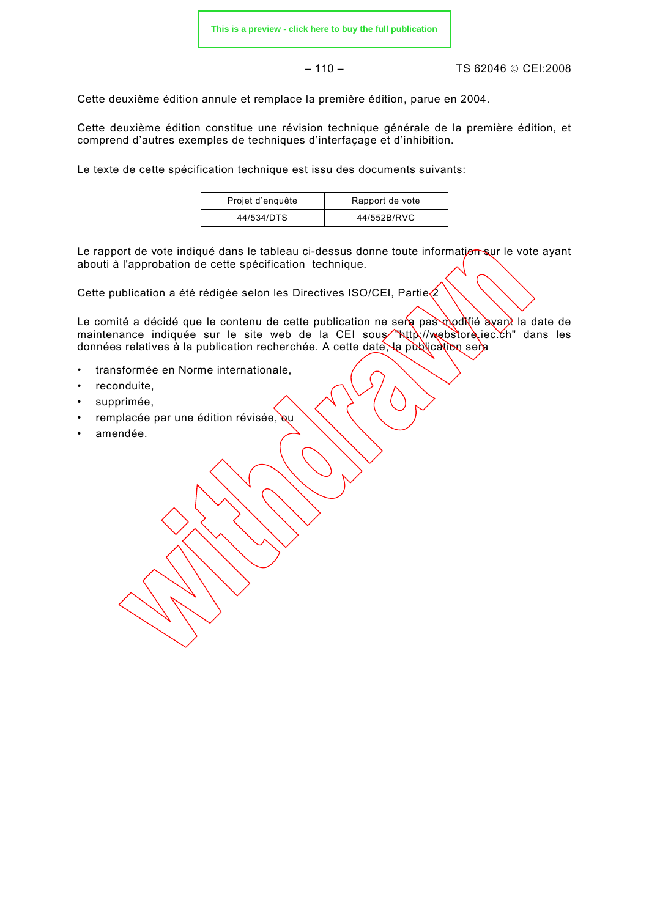– 110 – TS 62046 © CEI:2008

Cette deuxième édition annule et remplace la première édition, parue en 2004.

Cette deuxième édition constitue une révision technique générale de la première édition, et comprend d'autres exemples de techniques d'interfaçage et d'inhibition.

Le texte de cette spécification technique est issu des documents suivants:

| Projet d'enquête | Rapport de vote |  |
|------------------|-----------------|--|
| 44/534/DTS       | 44/552B/RVC     |  |

Le rapport de vote indiqué dans le tableau ci-dessus donne toute information sur le vote ayant abouti à l'approbation de cette spécification technique.

Cette publication a été rédigée selon les Directives ISO/CEI, Partie $\Diamond$ 

Le comité a décidé que le contenu de cette publication ne sera pas modifié avant la date de maintenance indiquée sur le site web de la CEI sous "http://webstore.iec.ch" dans les données relatives à la publication recherchée. A cette date, la publication sera

- transformée en Norme internationale,
- reconduite.
- supprimée,
- remplacée par une édition révisée, ou
- amendée.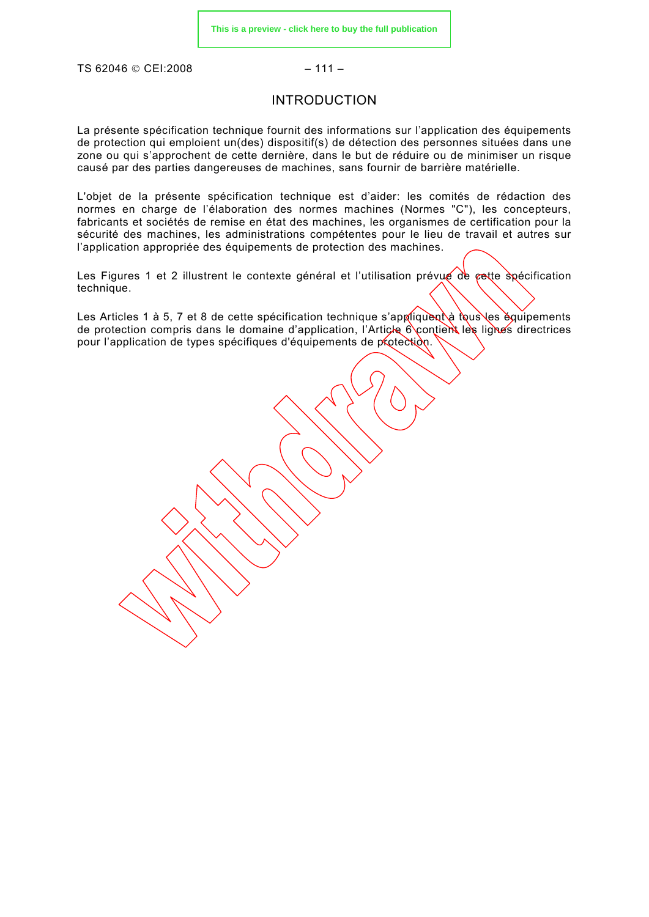<span id="page-17-0"></span>TS 62046 © CEI:2008 – 111 –

#### INTRODUCTION

La présente spécification technique fournit des informations sur l'application des équipements de protection qui emploient un(des) dispositif(s) de détection des personnes situées dans une zone ou qui s'approchent de cette dernière, dans le but de réduire ou de minimiser un risque causé par des parties dangereuses de machines, sans fournir de barrière matérielle.

L'objet de la présente spécification technique est d'aider: les comités de rédaction des normes en charge de l'élaboration des normes machines (Normes "C"), les concepteurs, fabricants et sociétés de remise en état des machines, les organismes de certification pour la sécurité des machines, les administrations compétentes pour le lieu de travail et autres sur l'application appropriée des équipements de protection des machines.

Les Figures 1 et 2 illustrent le contexte général et l'utilisation prévue de cette spécification technique.

Les Articles 1 à 5, 7 et 8 de cette spécification technique s'appliquent à tous les équipements de protection compris dans le domaine d'application, l'Article 6 contient les lignes directrices pour l'application de types spécifiques d'équipements de protection.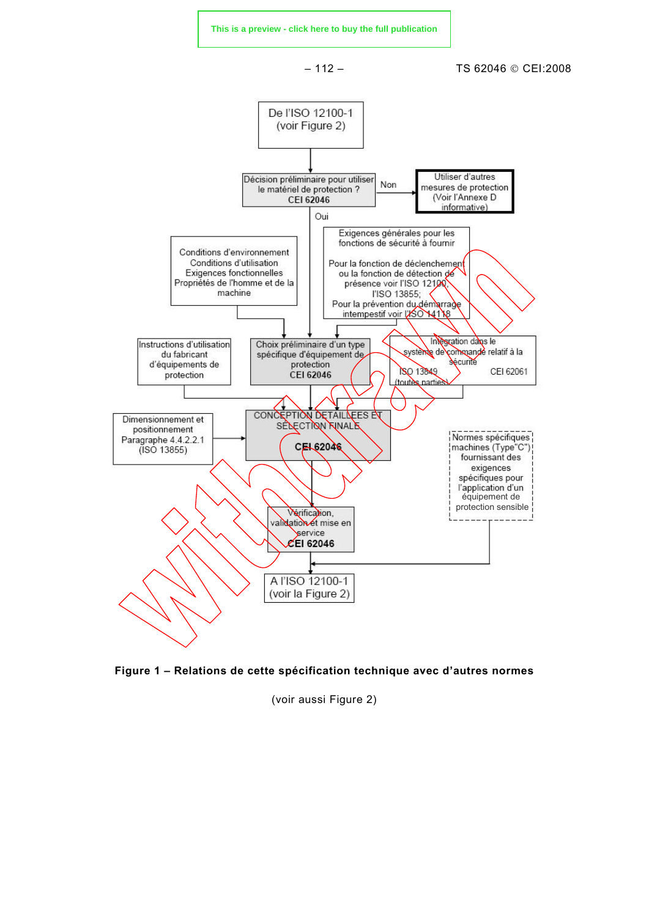<span id="page-18-0"></span>



(voir aussi Figure 2)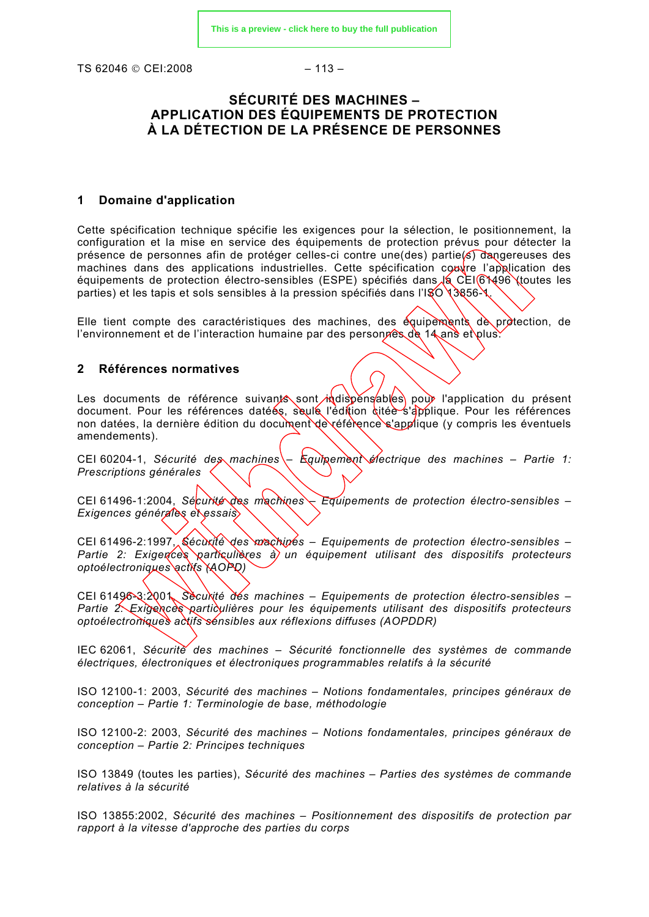<span id="page-19-0"></span>TS 62046 © CEI:2008 – 113 –

### **SÉCURITÉ DES MACHINES – APPLICATION DES ÉQUIPEMENTS DE PROTECTION À LA DÉTECTION DE LA PRÉSENCE DE PERSONNES**

#### **1 Domaine d'application**

Cette spécification technique spécifie les exigences pour la sélection, le positionnement, la configuration et la mise en service des équipements de protection prévus pour détecter la présence de personnes afin de protéger celles-ci contre une(des) partie(s) dangereuses des machines dans des applications industrielles. Cette spécification couvre l'application des équipements de protection électro-sensibles (ESPE) spécifiés dans  $\sqrt{2}$  CEI 61496 (toutes les parties) et les tapis et sols sensibles à la pression spécifiés dans l'ISO 13856-1.

Elle tient compte des caractéristiques des machines, des équipements de protection, de l'environnement et de l'interaction humaine par des personnes de 14 ans et plus.

#### **2 Références normatives**

Les documents de référence suivants sont indispensables pour l'application du présent document. Pour les références datées, seule l'édition citée s'applique. Pour les références non datées, la dernière édition du document de référence s'applique (y compris les éventuels amendements).

CEI 60204-1, *Sécurité des machines – Equipement électrique des machines – Partie 1: Prescriptions générales*

CEI 61496-1:2004, *Sécurité des machines – Equipements de protection électro-sensibles – Exigences générales et essais*

CEI 61496-2:1997, *Sécurité des machines – Equipements de protection électro-sensibles – Partie 2: Exigences particulières à un équipement utilisant des dispositifs protecteurs optoélectroniques actifs (AOPD)*

CEI 61496-3:2001, *Sécurité des machines – Equipements de protection électro-sensibles – Partie 2: Exigences particulières pour les équipements utilisant des dispositifs protecteurs optoélectroniques actifs sensibles aux réflexions diffuses (AOPDDR)*

IEC 62061, *Sécurité des machines – Sécurité fonctionnelle des systèmes de commande électriques, électroniques et électroniques programmables relatifs à la sécurité*

ISO 12100-1: 2003, *Sécurité des machines – Notions fondamentales, principes généraux de conception – Partie 1: Terminologie de base, méthodologie*

ISO 12100-2: 2003, *Sécurité des machines – Notions fondamentales, principes généraux de conception – Partie 2: Principes techniques*

ISO 13849 (toutes les parties), *Sécurité des machines – Parties des systèmes de commande relatives à la sécurité* 

ISO 13855:2002, *Sécurité des machines – Positionnement des dispositifs de protection par rapport à la vitesse d'approche des parties du corps*